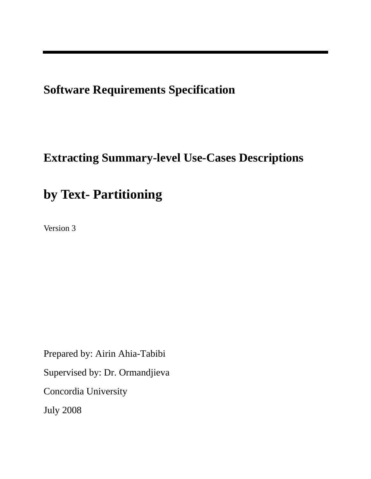**Software Requirements Specification** 

# **Extracting Summary-level Use-Cases Descriptions**

# **by Text- Partitioning**

Version 3

Prepared by: Airin Ahia-Tabibi Supervised by: Dr. Ormandjieva Concordia University July 2008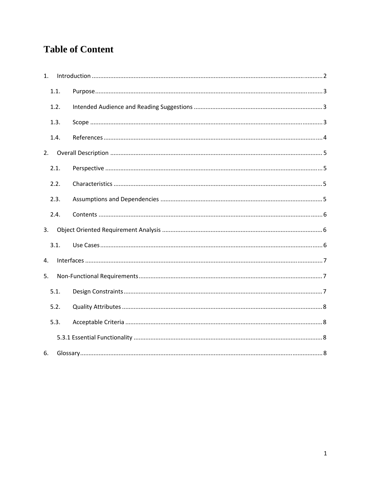# **Table of Content**

| $1_{-}$ |      |  |
|---------|------|--|
|         | 1.1. |  |
|         | 1.2. |  |
|         | 1.3. |  |
|         | 1.4. |  |
| 2.      |      |  |
|         | 2.1. |  |
|         | 2.2. |  |
|         | 2.3. |  |
|         | 2.4. |  |
| 3.      |      |  |
|         | 3.1. |  |
| 4.      |      |  |
| 5.      |      |  |
|         | 5.1. |  |
|         | 5.2. |  |
|         | 5.3. |  |
|         |      |  |
| 6.      |      |  |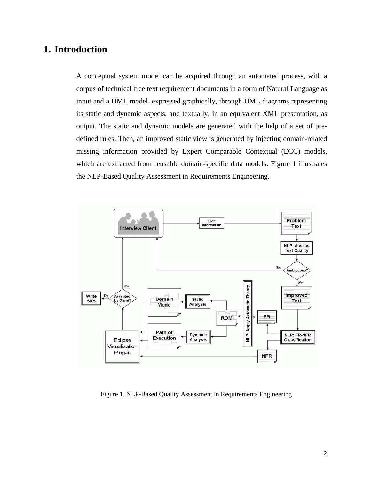# <span id="page-2-0"></span>**1. Introduction**

A conceptual system model can be acquired through an automated process, with a corpus of technical free text requirement documents in a form of Natural Language as input and a UML model, expressed graphically, through UML diagrams representing its static and dynamic aspects, and textually, in an equivalent XML presentation, as output. The static and dynamic models are generated with the help of a set of predefined rules. Then, an improved static view is generated by injecting domain-related missing information provided by Expert Comparable Contextual (ECC) models, which are extracted from reusable domain-specific data models. Figure 1 illustrates the NLP-Based Quality Assessment in Requirements Engineering.



Figure 1. NLP-Based Quality Assessment in Requirements Engineering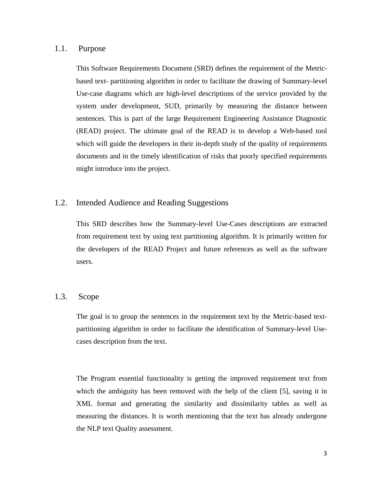#### <span id="page-3-0"></span>1.1. Purpose

This Software Requirements Document (SRD) defines the requirement of the Metricbased text- partitioning algorithm in order to facilitate the drawing of Summary-level Use-case diagrams which are high-level descriptions of the service provided by the system under development, SUD, primarily by measuring the distance between sentences. This is part of the large Requirement Engineering Assistance Diagnostic (READ) project. The ultimate goal of the READ is to develop a Web-based tool which will guide the developers in their in-depth study of the quality of requirements documents and in the timely identification of risks that poorly specified requirements might introduce into the project.

#### 1.2. Intended Audience and Reading Suggestions

This SRD describes how the Summary-level Use-Cases descriptions are extracted from requirement text by using text partitioning algorithm. It is primarily written for the developers of the READ Project and future references as well as the software users.

#### 1.3. Scope

The goal is to group the sentences in the requirement text by the Metric-based textpartitioning algorithm in order to facilitate the identification of Summary-level Usecases description from the text.

The Program essential functionality is getting the improved requirement text from which the ambiguity has been removed with the help of the client [5], saving it in XML format and generating the similarity and dissimilarity tables as well as measuring the distances. It is worth mentioning that the text has already undergone the NLP text Quality assessment.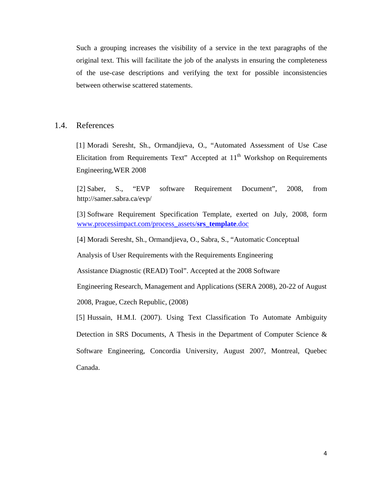<span id="page-4-0"></span>Such a grouping increases the visibility of a service in the text paragraphs of the original text. This will facilitate the job of the analysts in ensuring the completeness of the use-case descriptions and verifying the text for possible inconsistencies between otherwise scattered statements.

#### 1.4. References

[1] Moradi Seresht, Sh., Ormandjieva, O., "Automated Assessment of Use Case Elicitation from Requirements Text" Accepted at  $11<sup>th</sup>$  Workshop on Requirements Engineering,WER 2008

[2] Saber, S., "EVP software Requirement Document", 2008, from http://samer.sabra.ca/evp/

[3] Software Requirement Specification Template, exerted on July, 2008, form [www.processimpact.com/process\\_assets/](http://www.processimpact.com/process_assets/srs_template.doc)**srs**\_**template**.doc

[4] Moradi Seresht, Sh., Ormandjieva, O., Sabra, S., "Automatic Conceptual

Analysis of User Requirements with the Requirements Engineering

Assistance Diagnostic (READ) Tool". Accepted at the 2008 Software

Engineering Research, Management and Applications (SERA 2008), 20-22 of August 2008, Prague, Czech Republic, (2008)

[5] Hussain, H.M.I. (2007). Using Text Classification To Automate Ambiguity Detection in SRS Documents, A Thesis in the Department of Computer Science & Software Engineering, Concordia University, August 2007, Montreal, Quebec Canada.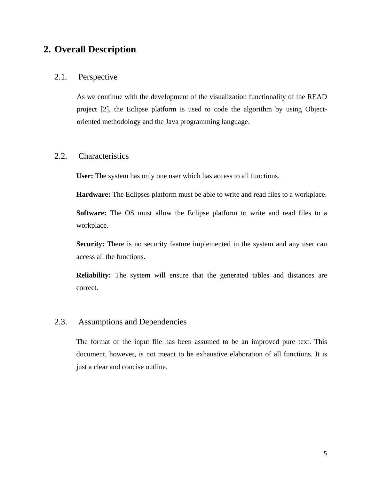## <span id="page-5-0"></span>**2. Overall Description**

#### 2.1. Perspective

As we continue with the development of the visualization functionality of the READ project [2], the Eclipse platform is used to code the algorithm by using Objectoriented methodology and the Java programming language.

#### 2.2. Characteristics

**User:** The system has only one user which has access to all functions.

**Hardware:** The Eclipses platform must be able to write and read files to a workplace.

**Software:** The OS must allow the Eclipse platform to write and read files to a workplace.

**Security:** There is no security feature implemented in the system and any user can access all the functions.

**Reliability:** The system will ensure that the generated tables and distances are correct.

#### 2.3. Assumptions and Dependencies

The format of the input file has been assumed to be an improved pure text. This document, however, is not meant to be exhaustive elaboration of all functions. It is just a clear and concise outline.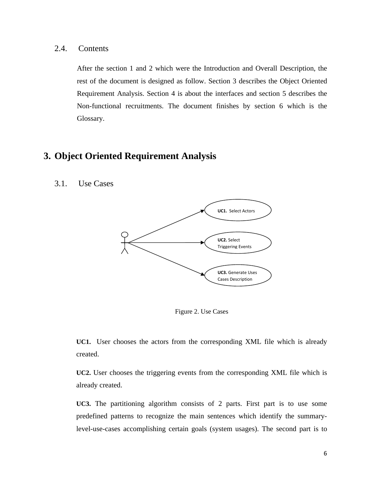<span id="page-6-0"></span>2.4. Contents

After the section 1 and 2 which were the Introduction and Overall Description, the rest of the document is designed as follow. Section 3 describes the Object Oriented Requirement Analysis. Section 4 is about the interfaces and section 5 describes the Non-functional recruitments. The document finishes by section 6 which is the Glossary.

## **3. Object Oriented Requirement Analysis**

3.1. Use Cases



Figure 2. Use Cases

**UC1.** User chooses the actors from the corresponding XML file which is already created.

**UC2.** User chooses the triggering events from the corresponding XML file which is already created.

**UC3.** The partitioning algorithm consists of 2 parts. First part is to use some predefined patterns to recognize the main sentences which identify the summarylevel-use-cases accomplishing certain goals (system usages). The second part is to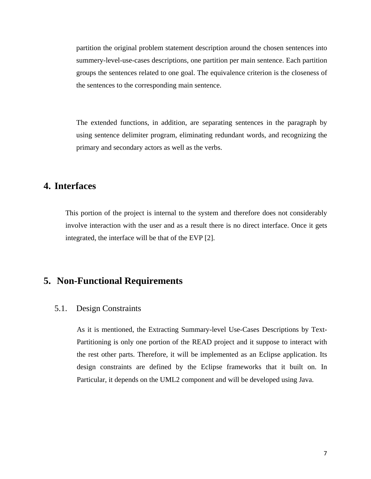<span id="page-7-0"></span>partition the original problem statement description around the chosen sentences into summery-level-use-cases descriptions, one partition per main sentence. Each partition groups the sentences related to one goal. The equivalence criterion is the closeness of the sentences to the corresponding main sentence.

The extended functions, in addition, are separating sentences in the paragraph by using sentence delimiter program, eliminating redundant words, and recognizing the primary and secondary actors as well as the verbs.

## **4. Interfaces**

This portion of the project is internal to the system and therefore does not considerably involve interaction with the user and as a result there is no direct interface. Once it gets integrated, the interface will be that of the EVP [2].

## **5. Non-Functional Requirements**

#### 5.1. Design Constraints

As it is mentioned, the Extracting Summary-level Use-Cases Descriptions by Text-Partitioning is only one portion of the READ project and it suppose to interact with the rest other parts. Therefore, it will be implemented as an Eclipse application. Its design constraints are defined by the Eclipse frameworks that it built on. In Particular, it depends on the UML2 component and will be developed using Java.